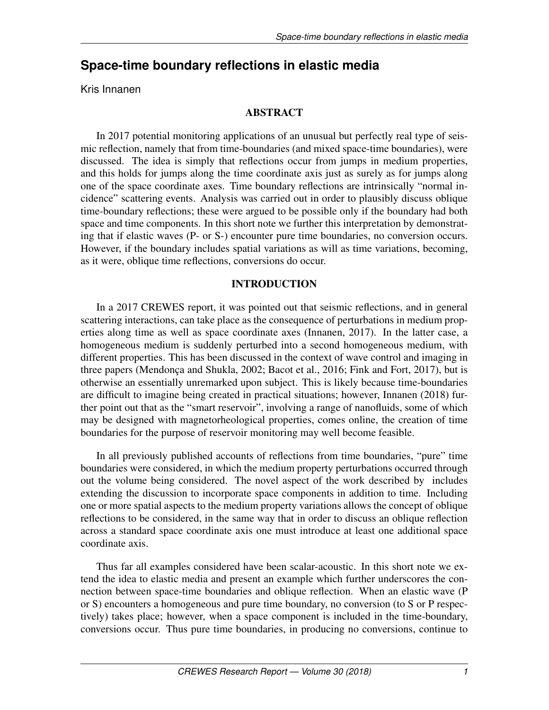# **Space-time boundary reflections in elastic media**

Kris Innanen

# ABSTRACT

In 2017 potential monitoring applications of an unusual but perfectly real type of seismic reflection, namely that from time-boundaries (and mixed space-time boundaries), were discussed. The idea is simply that reflections occur from jumps in medium properties, and this holds for jumps along the time coordinate axis just as surely as for jumps along one of the space coordinate axes. Time boundary reflections are intrinsically "normal incidence" scattering events. Analysis was carried out in order to plausibly discuss oblique time-boundary reflections; these were argued to be possible only if the boundary had both space and time components. In this short note we further this interpretation by demonstrating that if elastic waves (P- or S-) encounter pure time boundaries, no conversion occurs. However, if the boundary includes spatial variations as will as time variations, becoming, as it were, oblique time reflections, conversions do occur.

## INTRODUCTION

In a 2017 CREWES report, it was pointed out that seismic reflections, and in general scattering interactions, can take place as the consequence of perturbations in medium properties along time as well as space coordinate axes (Innanen, 2017). In the latter case, a homogeneous medium is suddenly perturbed into a second homogeneous medium, with different properties. This has been discussed in the context of wave control and imaging in three papers (Mendonça and Shukla, 2002; Bacot et al., 2016; Fink and Fort, 2017), but is otherwise an essentially unremarked upon subject. This is likely because time-boundaries are difficult to imagine being created in practical situations; however, Innanen (2018) further point out that as the "smart reservoir", involving a range of nanofluids, some of which may be designed with magnetorheological properties, comes online, the creation of time boundaries for the purpose of reservoir monitoring may well become feasible.

In all previously published accounts of reflections from time boundaries, "pure" time boundaries were considered, in which the medium property perturbations occurred through out the volume being considered. The novel aspect of the work described by includes extending the discussion to incorporate space components in addition to time. Including one or more spatial aspects to the medium property variations allows the concept of oblique reflections to be considered, in the same way that in order to discuss an oblique reflection across a standard space coordinate axis one must introduce at least one additional space coordinate axis.

Thus far all examples considered have been scalar-acoustic. In this short note we extend the idea to elastic media and present an example which further underscores the connection between space-time boundaries and oblique reflection. When an elastic wave (P or S) encounters a homogeneous and pure time boundary, no conversion (to S or P respectively) takes place; however, when a space component is included in the time-boundary, conversions occur. Thus pure time boundaries, in producing no conversions, continue to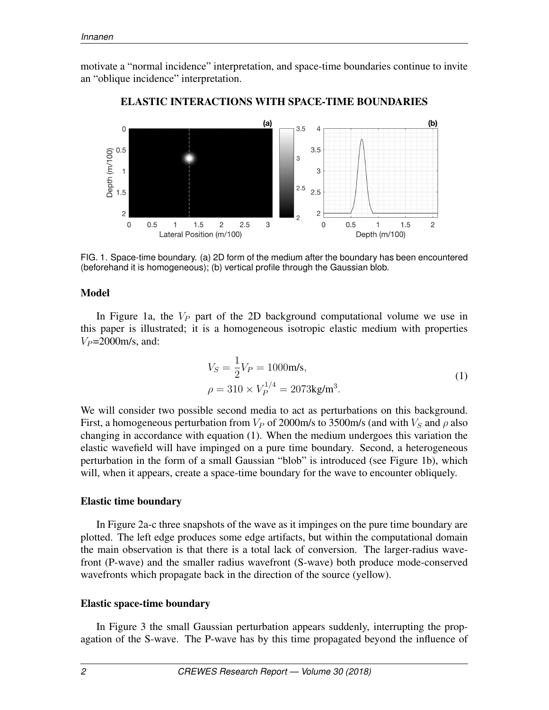motivate a "normal incidence" interpretation, and space-time boundaries continue to invite an "oblique incidence" interpretation.



### ELASTIC INTERACTIONS WITH SPACE-TIME BOUNDARIES

FIG. 1. Space-time boundary. (a) 2D form of the medium after the boundary has been encountered (beforehand it is homogeneous); (b) vertical profile through the Gaussian blob.

#### Model

In Figure 1a, the  $V_P$  part of the 2D background computational volume we use in this paper is illustrated; it is a homogeneous isotropic elastic medium with properties  $V_P$ =2000m/s, and:

$$
V_S = \frac{1}{2} V_P = 1000 \text{m/s},
$$
  
\n
$$
\rho = 310 \times V_P^{1/4} = 2073 \text{kg/m}^3.
$$
\n(1)

We will consider two possible second media to act as perturbations on this background. First, a homogeneous perturbation from  $V_P$  of 2000m/s to 3500m/s (and with  $V_S$  and  $\rho$  also changing in accordance with equation (1). When the medium undergoes this variation the elastic wavefield will have impinged on a pure time boundary. Second, a heterogeneous perturbation in the form of a small Gaussian "blob" is introduced (see Figure 1b), which will, when it appears, create a space-time boundary for the wave to encounter obliquely.

#### Elastic time boundary

In Figure 2a-c three snapshots of the wave as it impinges on the pure time boundary are plotted. The left edge produces some edge artifacts, but within the computational domain the main observation is that there is a total lack of conversion. The larger-radius wavefront (P-wave) and the smaller radius wavefront (S-wave) both produce mode-conserved wavefronts which propagate back in the direction of the source (yellow).

#### Elastic space-time boundary

In Figure 3 the small Gaussian perturbation appears suddenly, interrupting the propagation of the S-wave. The P-wave has by this time propagated beyond the influence of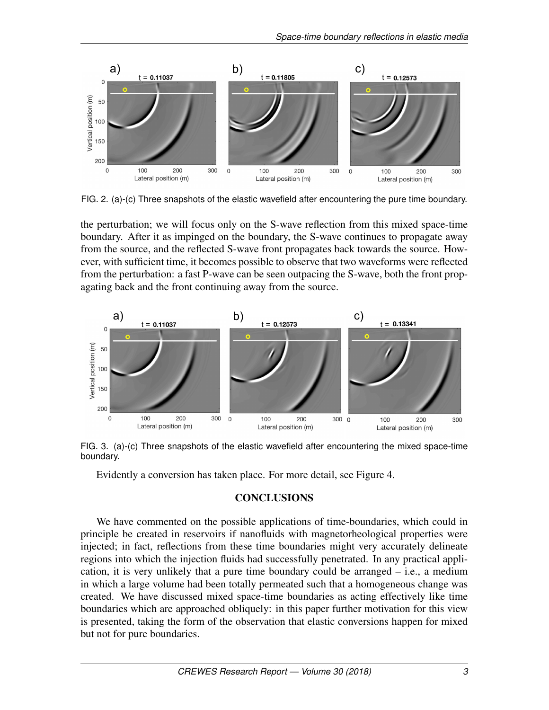

FIG. 2. (a)-(c) Three snapshots of the elastic wavefield after encountering the pure time boundary.

the perturbation; we will focus only on the S-wave reflection from this mixed space-time boundary. After it as impinged on the boundary, the S-wave continues to propagate away from the source, and the reflected S-wave front propagates back towards the source. However, with sufficient time, it becomes possible to observe that two waveforms were reflected from the perturbation: a fast P-wave can be seen outpacing the S-wave, both the front propagating back and the front continuing away from the source.



FIG. 3. (a)-(c) Three snapshots of the elastic wavefield after encountering the mixed space-time boundary.

Evidently a conversion has taken place. For more detail, see Figure 4.

#### **CONCLUSIONS**

We have commented on the possible applications of time-boundaries, which could in principle be created in reservoirs if nanofluids with magnetorheological properties were injected; in fact, reflections from these time boundaries might very accurately delineate regions into which the injection fluids had successfully penetrated. In any practical application, it is very unlikely that a pure time boundary could be arranged – i.e., a medium in which a large volume had been totally permeated such that a homogeneous change was created. We have discussed mixed space-time boundaries as acting effectively like time boundaries which are approached obliquely: in this paper further motivation for this view is presented, taking the form of the observation that elastic conversions happen for mixed but not for pure boundaries.